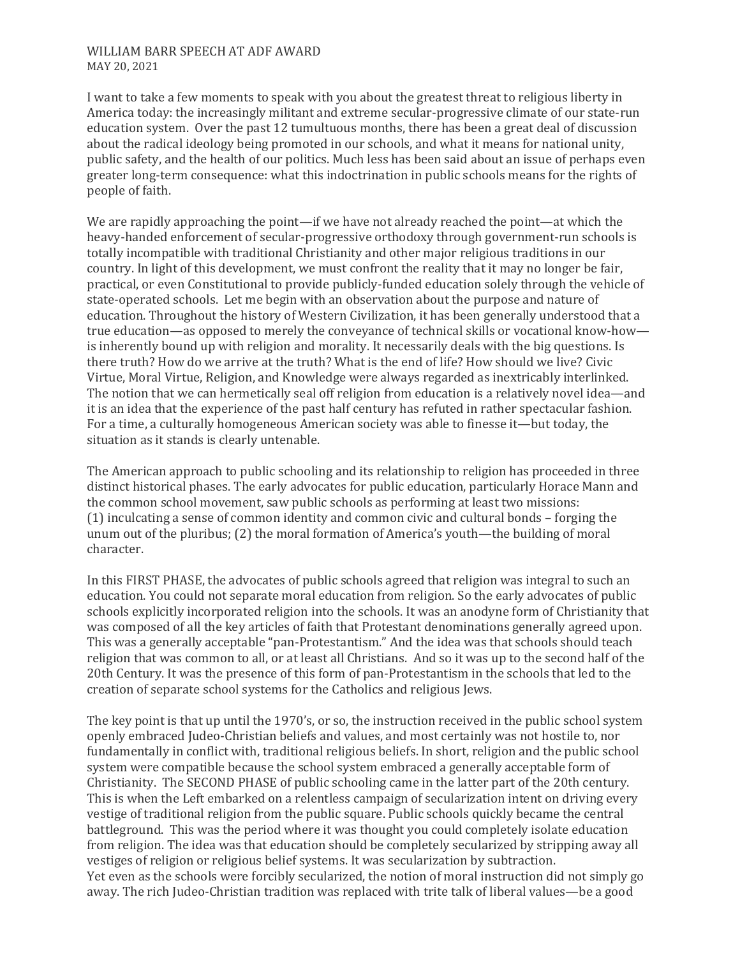## WILLIAM BARR SPEECH AT ADF AWARD MAY 20, 2021

I want to take a few moments to speak with you about the greatest threat to religious liberty in America today: the increasingly militant and extreme secular-progressive climate of our state-run education system. Over the past 12 tumultuous months, there has been a great deal of discussion about the radical ideology being promoted in our schools, and what it means for national unity, public safety, and the health of our politics. Much less has been said about an issue of perhaps even greater long-term consequence: what this indoctrination in public schools means for the rights of people of faith.

We are rapidly approaching the point—if we have not already reached the point—at which the heavy-handed enforcement of secular-progressive orthodoxy through government-run schools is totally incompatible with traditional Christianity and other major religious traditions in our country. In light of this development, we must confront the reality that it may no longer be fair, practical, or even Constitutional to provide publicly-funded education solely through the vehicle of state-operated schools. Let me begin with an observation about the purpose and nature of education. Throughout the history of Western Civilization, it has been generally understood that a true education—as opposed to merely the conveyance of technical skills or vocational know-how is inherently bound up with religion and morality. It necessarily deals with the big questions. Is there truth? How do we arrive at the truth? What is the end of life? How should we live? Civic Virtue, Moral Virtue, Religion, and Knowledge were always regarded as inextricably interlinked. The notion that we can hermetically seal off religion from education is a relatively novel idea—and it is an idea that the experience of the past half century has refuted in rather spectacular fashion. For a time, a culturally homogeneous American society was able to finesse it—but today, the situation as it stands is clearly untenable.

The American approach to public schooling and its relationship to religion has proceeded in three distinct historical phases. The early advocates for public education, particularly Horace Mann and the common school movement, saw public schools as performing at least two missions: (1) inculcating a sense of common identity and common civic and cultural bonds – forging the unum out of the pluribus; (2) the moral formation of America's youth—the building of moral character.

In this FIRST PHASE, the advocates of public schools agreed that religion was integral to such an education. You could not separate moral education from religion. So the early advocates of public schools explicitly incorporated religion into the schools. It was an anodyne form of Christianity that was composed of all the key articles of faith that Protestant denominations generally agreed upon. This was a generally acceptable "pan-Protestantism." And the idea was that schools should teach religion that was common to all, or at least all Christians. And so it was up to the second half of the 20th Century. It was the presence of this form of pan-Protestantism in the schools that led to the creation of separate school systems for the Catholics and religious Jews.

The key point is that up until the 1970's, or so, the instruction received in the public school system openly embraced Judeo-Christian beliefs and values, and most certainly was not hostile to, nor fundamentally in conflict with, traditional religious beliefs. In short, religion and the public school system were compatible because the school system embraced a generally acceptable form of Christianity. The SECOND PHASE of public schooling came in the latter part of the 20th century. This is when the Left embarked on a relentless campaign of secularization intent on driving every vestige of traditional religion from the public square. Public schools quickly became the central battleground. This was the period where it was thought you could completely isolate education from religion. The idea was that education should be completely secularized by stripping away all vestiges of religion or religious belief systems. It was secularization by subtraction. Yet even as the schools were forcibly secularized, the notion of moral instruction did not simply go away. The rich Judeo-Christian tradition was replaced with trite talk of liberal values—be a good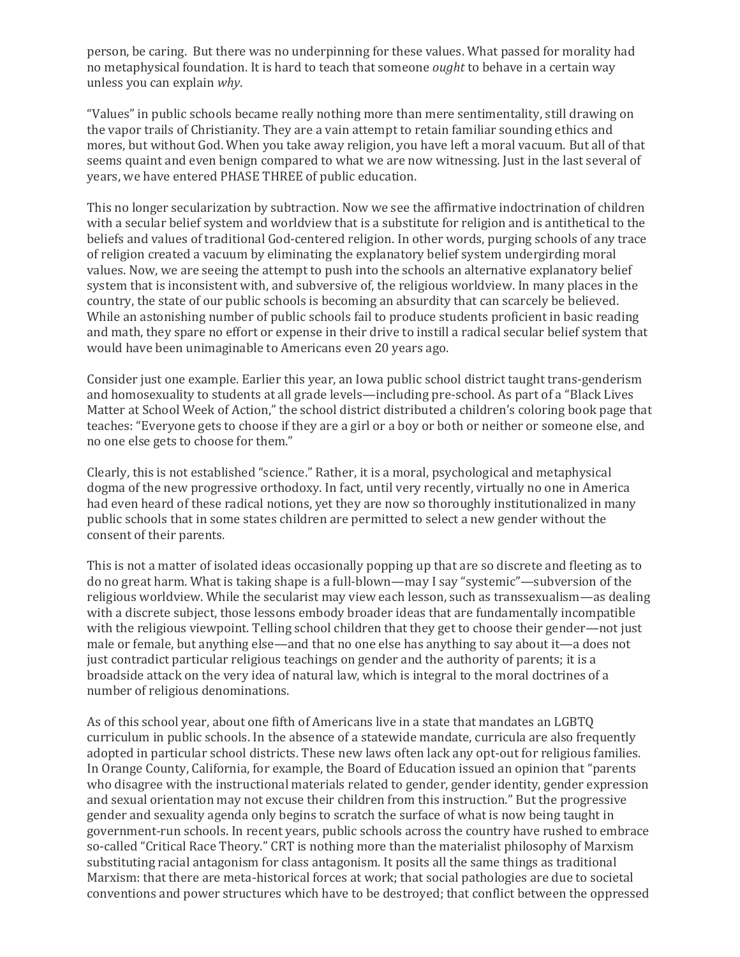person, be caring. But there was no underpinning for these values. What passed for morality had no metaphysical foundation. It is hard to teach that someone *ought* to behave in a certain way unless you can explain *why*.

"Values" in public schools became really nothing more than mere sentimentality, still drawing on the vapor trails of Christianity. They are a vain attempt to retain familiar sounding ethics and mores, but without God. When you take away religion, you have left a moral vacuum. But all of that seems quaint and even benign compared to what we are now witnessing. Just in the last several of years, we have entered PHASE THREE of public education.

This no longer secularization by subtraction. Now we see the affirmative indoctrination of children with a secular belief system and worldview that is a substitute for religion and is antithetical to the beliefs and values of traditional God-centered religion. In other words, purging schools of any trace of religion created a vacuum by eliminating the explanatory belief system undergirding moral values. Now, we are seeing the attempt to push into the schools an alternative explanatory belief system that is inconsistent with, and subversive of, the religious worldview. In many places in the country, the state of our public schools is becoming an absurdity that can scarcely be believed. While an astonishing number of public schools fail to produce students proficient in basic reading and math, they spare no effort or expense in their drive to instill a radical secular belief system that would have been unimaginable to Americans even 20 years ago.

Consider just one example. Earlier this year, an Iowa public school district taught trans-genderism and homosexuality to students at all grade levels—including pre-school. As part of a "Black Lives Matter at School Week of Action," the school district distributed a children's coloring book page that teaches: "Everyone gets to choose if they are a girl or a boy or both or neither or someone else, and no one else gets to choose for them."

Clearly, this is not established "science." Rather, it is a moral, psychological and metaphysical dogma of the new progressive orthodoxy. In fact, until very recently, virtually no one in America had even heard of these radical notions, yet they are now so thoroughly institutionalized in many public schools that in some states children are permitted to select a new gender without the consent of their parents.

This is not a matter of isolated ideas occasionally popping up that are so discrete and fleeting as to do no great harm. What is taking shape is a full-blown—may I say "systemic"—subversion of the religious worldview. While the secularist may view each lesson, such as transsexualism—as dealing with a discrete subject, those lessons embody broader ideas that are fundamentally incompatible with the religious viewpoint. Telling school children that they get to choose their gender—not just male or female, but anything else—and that no one else has anything to say about it—a does not just contradict particular religious teachings on gender and the authority of parents; it is a broadside attack on the very idea of natural law, which is integral to the moral doctrines of a number of religious denominations.

As of this school year, about one fifth of Americans live in a state that mandates an LGBTQ curriculum in public schools. In the absence of a statewide mandate, curricula are also frequently adopted in particular school districts. These new laws often lack any opt-out for religious families. In Orange County, California, for example, the Board of Education issued an opinion that "parents who disagree with the instructional materials related to gender, gender identity, gender expression and sexual orientation may not excuse their children from this instruction." But the progressive gender and sexuality agenda only begins to scratch the surface of what is now being taught in government-run schools. In recent years, public schools across the country have rushed to embrace so-called "Critical Race Theory." CRT is nothing more than the materialist philosophy of Marxism substituting racial antagonism for class antagonism. It posits all the same things as traditional Marxism: that there are meta-historical forces at work; that social pathologies are due to societal conventions and power structures which have to be destroyed; that conflict between the oppressed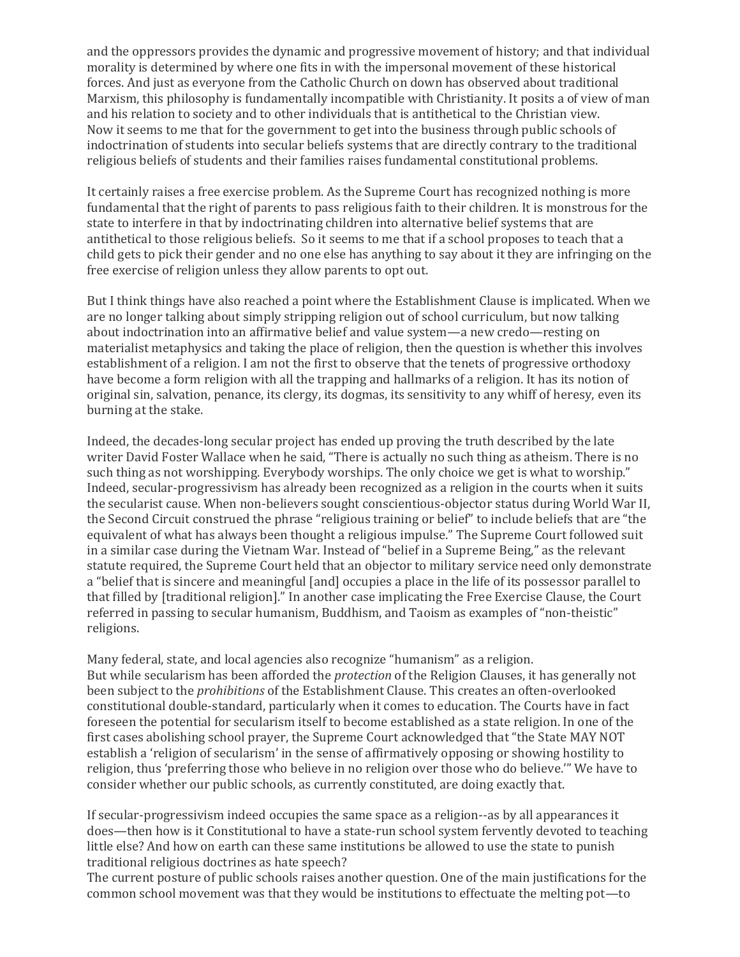and the oppressors provides the dynamic and progressive movement of history; and that individual morality is determined by where one fits in with the impersonal movement of these historical forces. And just as everyone from the Catholic Church on down has observed about traditional Marxism, this philosophy is fundamentally incompatible with Christianity. It posits a of view of man and his relation to society and to other individuals that is antithetical to the Christian view. Now it seems to me that for the government to get into the business through public schools of indoctrination of students into secular beliefs systems that are directly contrary to the traditional religious beliefs of students and their families raises fundamental constitutional problems.

It certainly raises a free exercise problem. As the Supreme Court has recognized nothing is more fundamental that the right of parents to pass religious faith to their children. It is monstrous for the state to interfere in that by indoctrinating children into alternative belief systems that are antithetical to those religious beliefs. So it seems to me that if a school proposes to teach that a child gets to pick their gender and no one else has anything to say about it they are infringing on the free exercise of religion unless they allow parents to opt out.

But I think things have also reached a point where the Establishment Clause is implicated. When we are no longer talking about simply stripping religion out of school curriculum, but now talking about indoctrination into an affirmative belief and value system—a new credo—resting on materialist metaphysics and taking the place of religion, then the question is whether this involves establishment of a religion. I am not the first to observe that the tenets of progressive orthodoxy have become a form religion with all the trapping and hallmarks of a religion. It has its notion of original sin, salvation, penance, its clergy, its dogmas, its sensitivity to any whiff of heresy, even its burning at the stake.

Indeed, the decades-long secular project has ended up proving the truth described by the late writer David Foster Wallace when he said, "There is actually no such thing as atheism. There is no such thing as not worshipping. Everybody worships. The only choice we get is what to worship." Indeed, secular-progressivism has already been recognized as a religion in the courts when it suits the secularist cause. When non-believers sought conscientious-objector status during World War II, the Second Circuit construed the phrase "religious training or belief" to include beliefs that are "the equivalent of what has always been thought a religious impulse." The Supreme Court followed suit in a similar case during the Vietnam War. Instead of "belief in a Supreme Being," as the relevant statute required, the Supreme Court held that an objector to military service need only demonstrate a "belief that is sincere and meaningful [and] occupies a place in the life of its possessor parallel to that filled by [traditional religion]." In another case implicating the Free Exercise Clause, the Court referred in passing to secular humanism, Buddhism, and Taoism as examples of "non-theistic" religions.

Many federal, state, and local agencies also recognize "humanism" as a religion. But while secularism has been afforded the *protection* of the Religion Clauses, it has generally not been subject to the *prohibitions* of the Establishment Clause. This creates an often-overlooked constitutional double-standard, particularly when it comes to education. The Courts have in fact foreseen the potential for secularism itself to become established as a state religion. In one of the first cases abolishing school prayer, the Supreme Court acknowledged that "the State MAY NOT establish a 'religion of secularism' in the sense of affirmatively opposing or showing hostility to religion, thus 'preferring those who believe in no religion over those who do believe.'" We have to consider whether our public schools, as currently constituted, are doing exactly that.

If secular-progressivism indeed occupies the same space as a religion--as by all appearances it does—then how is it Constitutional to have a state-run school system fervently devoted to teaching little else? And how on earth can these same institutions be allowed to use the state to punish traditional religious doctrines as hate speech?

The current posture of public schools raises another question. One of the main justifications for the common school movement was that they would be institutions to effectuate the melting pot—to